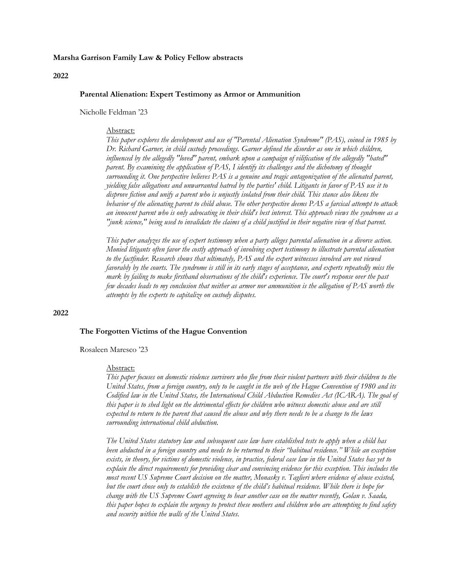## **Marsha Garrison Family Law & Policy Fellow abstracts**

#### **2022**

## **Parental Alienation: Expert Testimony as Armor or Ammunition**

Nicholle Feldman '23

## Abstract:

*This paper explores the development and use of "Parental Alienation Syndrome" (PAS), coined in 1985 by Dr. Richard Garner, in child custody proceedings. Garner defined the disorder as one in which children, influenced by the allegedly "loved" parent, embark upon a campaign of vilification of the allegedly "hated" parent. By examining the application of PAS, I identify its challenges and the dichotomy of thought surrounding it. One perspective believes PAS is a genuine and tragic antagonization of the alienated parent, yielding false allegations and unwarranted hatred by the parties' child. Litigants in favor of PAS use it to disprove fiction and unify a parent who is unjustly isolated from their child. This stance also likens the behavior of the alienating parent to child abuse. The other perspective deems PAS a farcical attempt to attack an innocent parent who is only advocating in their child's best interest. This approach views the syndrome as a "junk science," being used to invalidate the claims of a child justified in their negative view of that parent.* 

*This paper analyzes the use of expert testimony when a party alleges parental alienation in a divorce action. Monied litigants often favor the costly approach of involving expert testimony to illustrate parental alienation to the factfinder. Research shows that ultimately, PAS and the expert witnesses involved are not viewed favorably by the courts. The syndrome is still in its early stages of acceptance, and experts repeatedly miss the mark by failing to make firsthand observations of the child's experience. The court's response over the past few decades leads to my conclusion that neither as armor nor ammunition is the allegation of PAS worth the attempts by the experts to capitalize on custody disputes.*

## **2022**

## **The Forgotten Victims of the Hague Convention**

#### Rosaleen Maresco '23

#### Abstract:

*This paper focuses on domestic violence survivors who flee from their violent partners with their children to the United States, from a foreign country, only to be caught in the web of the Hague Convention of 1980 and its Codified law in the United States, the International Child Abduction Remedies Act (ICARA). The goal of this paper is to shed light on the detrimental effects for children who witness domestic abuse and are still expected to return to the parent that caused the abuse and why there needs to be a change to the laws surrounding international child abduction.* 

*The United States statutory law and subsequent case law have established tests to apply when a child has been abducted in a foreign country and needs to be returned to their "habitual residence." While an exception exists, in theory, for victims of domestic violence, in practice, federal case law in the United States has yet to explain the direct requirements for providing clear and convincing evidence for this exception. This includes the most recent US Supreme Court decision on the matter, Monasky v. Taglieri where evidence of abuse existed, but the court chose only to establish the existence of the child's habitual residence. While there is hope for change with the US Supreme Court agreeing to hear another case on the matter recently, Golan v. Saada, this paper hopes to explain the urgency to protect these mothers and children who are attempting to find safety and security within the walls of the United States.*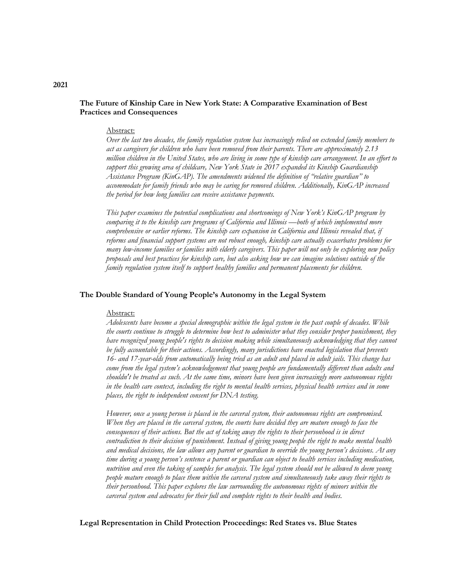# **The Future of Kinship Care in New York State: A Comparative Examination of Best Practices and Consequences**

## Abstract:

*Over the last two decades, the family regulation system has increasingly relied on extended family members to act as caregivers for children who have been removed from their parents. There are approximately 2.13 million children in the United States, who are living in some type of kinship care arrangement. In an effort to support this growing area of childcare, New York State in 2017 expanded its Kinship Guardianship Assistance Program (KinGAP). The amendments widened the definition of "relative guardian" to accommodate for family friends who may be caring for removed children. Additionally, KinGAP increased the period for how long families can receive assistance payments.*

*This paper examines the potential complications and shortcomings of New York's KinGAP program by comparing it to the kinship care programs of California and Illinois —both of which implemented more comprehensive or earlier reforms. The kinship care expansion in California and Illinois revealed that, if reforms and financial support systems are not robust enough, kinship care actually exacerbates problems for many low-income families or families with elderly caregivers. This paper will not only be exploring new policy proposals and best practices for kinship care, but also asking how we can imagine solutions outside of the family regulation system itself to support healthy families and permanent placements for children.*

# **The Double Standard of Young People's Autonomy in the Legal System**

#### Abstract:

*Adolescents have become a special demographic within the legal system in the past couple of decades. While the courts continue to struggle to determine how best to administer what they consider proper punishment, they have recognized young people's rights to decision making while simultaneously acknowledging that they cannot be fully accountable for their actions. Accordingly, many jurisdictions have enacted legislation that prevents 16- and 17-year-olds from automatically being tried as an adult and placed in adult jails. This change has come from the legal system's acknowledgement that young people are fundamentally different than adults and shouldn't be treated as such. At the same time, minors have been given increasingly more autonomous rights in the health care context, including the right to mental health services, physical health services and in some places, the right to independent consent for DNA testing.*

*However, once a young person is placed in the carceral system, their autonomous rights are compromised. When they are placed in the carceral system, the courts have decided they are mature enough to face the consequences of their actions. But the act of taking away the rights to their personhood is in direct contradiction to their decision of punishment. Instead of giving young people the right to make mental health and medical decisions, the law allows any parent or guardian to override the young person's decisions. At any time during a young person's sentence a parent or guardian can object to health services including medication, nutrition and even the taking of samples for analysis. The legal system should not be allowed to deem young people mature enough to place them within the carceral system and simultaneously take away their rights to their personhood. This paper explores the law surrounding the autonomous rights of minors within the carceral system and advocates for their full and complete rights to their health and bodies.*

**Legal Representation in Child Protection Proceedings: Red States vs. Blue States**

# **2021**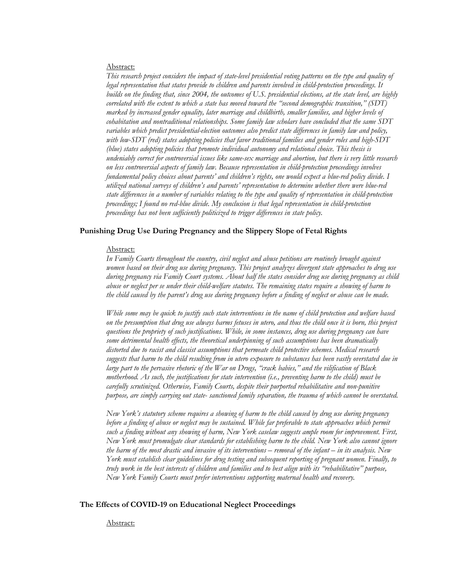## Abstract:

*This research project considers the impact of state-level presidential voting patterns on the type and quality of legal representation that states provide to children and parents involved in child-protection proceedings. It builds on the finding that, since 2004, the outcomes of U.S. presidential elections, at the state level, are highly correlated with the extent to which a state has moved toward the "second demographic transition," (SDT) marked by increased gender equality, later marriage and childbirth, smaller families, and higher levels of cohabitation and nontraditional relationships. Some family law scholars have concluded that the same SDT variables which predict presidential-election outcomes also predict state differences in family law and policy, with low-SDT (red) states adopting policies that favor traditional families and gender roles and high-SDT (blue) states adopting policies that promote individual autonomy and relational choice. This thesis is undeniably correct for controversial issues like same-sex marriage and abortion, but there is very little research on less controversial aspects of family law. Because representation in child-protection proceedings involves fundamental policy choices about parents' and children's rights, one would expect a blue-red policy divide. I utilized national surveys of children's and parents' representation to determine whether there were blue-red state differences in a number of variables relating to the type and quality of representation in child-protection proceedings; I found no red-blue divide. My conclusion is that legal representation in child-protection proceedings has not been sufficiently politicized to trigger differences in state policy.*

# **Punishing Drug Use During Pregnancy and the Slippery Slope of Fetal Rights**

## Abstract:

*In Family Courts throughout the country, civil neglect and abuse petitions are routinely brought against women based on their drug use during pregnancy. This project analyzes divergent state approaches to drug use during pregnancy via Family Court systems. About half the states consider drug use during pregnancy as child abuse or neglect per se under their child-welfare statutes. The remaining states require a showing of harm to the child caused by the parent's drug use during pregnancy before a finding of neglect or abuse can be made.*

*While some may be quick to justify such state interventions in the name of child protection and welfare based on the presumption that drug use always harms fetuses in utero, and thus the child once it is born, this project questions the propriety of such justifications. While, in some instances, drug use during pregnancy can have some detrimental health effects, the theoretical underpinning of such assumptions has been dramatically distorted due to racist and classist assumptions that permeate child protective schemes. Medical research suggests that harm to the child resulting from in utero exposure to substances has been vastly overstated due in large part to the pervasive rhetoric of the War on Drugs, "crack babies," and the vilification of Black motherhood. As such, the justifications for state intervention (i.e., preventing harm to the child) must be carefully scrutinized. Otherwise, Family Courts, despite their purported rehabilitative and non-punitive purpose, are simply carrying out state- sanctioned family separation, the trauma of which cannot be overstated.*

*New York's statutory scheme requires a showing of harm to the child caused by drug use during pregnancy before a finding of abuse or neglect may be sustained. While far preferable to state approaches which permit such a finding without any showing of harm, New York caselaw suggests ample room for improvement. First, New York must promulgate clear standards for establishing harm to the child. New York also cannot ignore the harm of the most drastic and invasive of its interventions – removal of the infant – in its analysis. New York must establish clear guidelines for drug testing and subsequent reporting of pregnant women. Finally, to truly work in the best interests of children and families and to best align with its "rehabilitative" purpose, New York Family Courts must prefer interventions supporting maternal health and recovery.*

## **The Effects of COVID-19 on Educational Neglect Proceedings**

Abstract: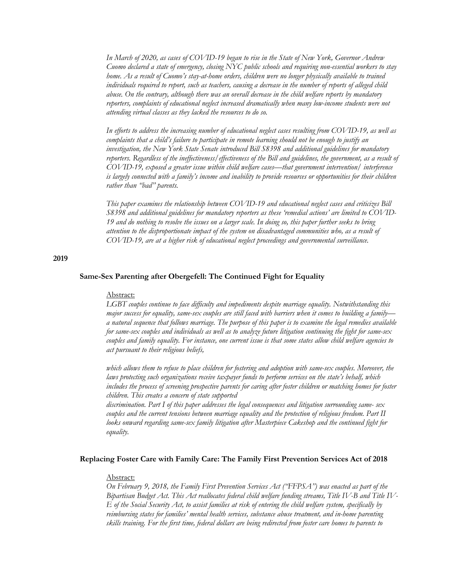*In March of 2020, as cases of COVID-19 began to rise in the State of New York, Governor Andrew Cuomo declared a state of emergency, closing NYC public schools and requiring non-essential workers to stay home. As a result of Cuomo's stay-at-home orders, children were no longer physically available to trained individuals required to report, such as teachers, causing a decrease in the number of reports of alleged child abuse. On the contrary, although there was an overall decrease in the child welfare reports by mandatory reporters, complaints of educational neglect increased dramatically when many low-income students were not attending virtual classes as they lacked the resources to do so.*

*In efforts to address the increasing number of educational neglect cases resulting from COVID-19, as well as complaints that a child's failure to participate in remote learning should not be enough to justify an investigation, the New York State Senate introduced Bill S8398 and additional guidelines for mandatory reporters. Regardless of the ineffectiveness/effectiveness of the Bill and guidelines, the government, as a result of COVID-19, exposed a greater issue within child welfare cases—that government intervention/ interference is largely connected with a family's income and inability to provide resources or opportunities for their children rather than "bad" parents.*

*This paper examines the relationship between COVID-19 and educational neglect cases and criticizes Bill S8398 and additional guidelines for mandatory reporters as these 'remedial actions' are limited to COVID-19 and do nothing to resolve the issues on a larger scale. In doing so, this paper further seeks to bring attention to the disproportionate impact of the system on disadvantaged communities who, as a result of COVID-19, are at a higher risk of educational neglect proceedings and governmental surveillance.*

#### **2019**

# **Same-Sex Parenting after Obergefell: The Continued Fight for Equality**

## Abstract:

*LGBT couples continue to face difficulty and impediments despite marriage equality. Notwithstanding this major success for equality, same-sex couples are still faced with barriers when it comes to building a family a natural sequence that follows marriage. The purpose of this paper is to examine the legal remedies available for same-sex couples and individuals as well as to analyze future litigation continuing the fight for same-sex couples and family equality. For instance, one current issue is that some states allow child welfare agencies to act pursuant to their religious beliefs,*

*which allows them to refuse to place children for fostering and adoption with same-sex couples. Moreover, the laws protecting such organizations receive taxpayer funds to perform services on the state's behalf, which includes the process of screening prospective parents for caring after foster children or matching homes for foster children. This creates a concern of state supported*

*discrimination. Part I of this paper addresses the legal consequences and litigation surrounding same- sex couples and the current tensions between marriage equality and the protection of religious freedom. Part II looks onward regarding same-sex family litigation after Masterpiece Cakeshop and the continued fight for equality.*

## **Replacing Foster Care with Family Care: The Family First Prevention Services Act of 2018**

# Abstract:

*On February 9, 2018, the Family First Prevention Services Act ("FFPSA") was enacted as part of the Bipartisan Budget Act. This Act reallocates federal child welfare funding streams, Title IV-B and Title IV-E of the Social Security Act, to assist families at risk of entering the child welfare system, specifically by reimbursing states for families' mental health services, substance abuse treatment, and in-home parenting skills training. For the first time, federal dollars are being redirected from foster care homes to parents to*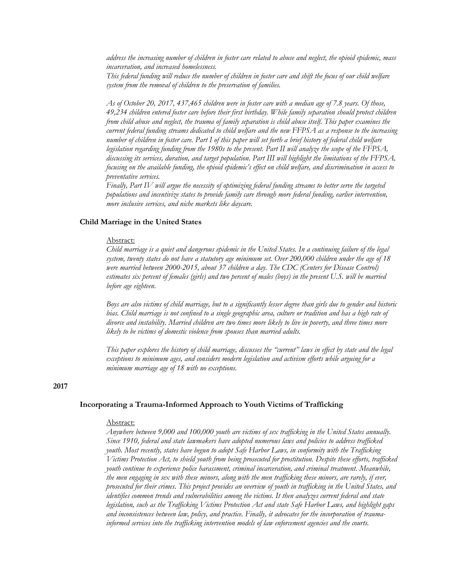*address the increasing number of children in foster care related to abuse and neglect, the opioid epidemic, mass incarceration, and increased homelessness.*

*This federal funding will reduce the number of children in foster care and shift the focus of our child welfare system from the removal of children to the preservation of families.*

*As of October 20, 2017, 437,465 children were in foster care with a median age of 7.8 years. Of those, 49,234 children entered foster care before their first birthday. While family separation should protect children from child abuse and neglect, the trauma of family separation is child abuse itself. This paper examines the current federal funding streams dedicated to child welfare and the new FFPSA as a response to the increasing number of children in foster care. Part I of this paper will set forth a brief history of federal child welfare legislation regarding funding from the 1980s to the present. Part II will analyze the scope of the FFPSA, discussing its services, duration, and target population. Part III will highlight the limitations of the FFPSA, focusing on the available funding, the opioid epidemic's effect on child welfare, and discrimination in access to preventative services.*

*Finally, Part IV will argue the necessity of optimizing federal funding streams to better serve the targeted populations and incentivize states to provide family care through more federal funding, earlier intervention, more inclusive services, and niche markets like daycare.*

#### **Child Marriage in the United States**

# Abstract:

*Child marriage is a quiet and dangerous epidemic in the United States. In a continuing failure of the legal system, twenty states do not have a statutory age minimum set. Over 200,000 children under the age of 18 were married between 2000-2015, about 37 children a day. The CDC (Centers for Disease Control) estimates six percent of females (girls) and two percent of males (boys) in the present U.S. will be married before age eighteen.*

*Boys are also victims of child marriage, but to a significantly lesser degree than girls due to gender and historic*  bias. Child marriage is not confined to a single geographic area, culture or tradition and has a high rate of *divorce and instability. Married children are two times more likely to live in poverty, and three times more likely to be victims of domestic violence from spouses than married adults.*

*This paper explores the history of child marriage, discusses the "current" laws in effect by state and the legal exceptions to minimum ages, and considers modern legislation and activism efforts while arguing for a minimum marriage age of 18 with no exceptions.*

# **2017**

#### **Incorporating a Trauma-Informed Approach to Youth Victims of Trafficking**

# Abstract:

*Anywhere between 9,000 and 100,000 youth are victims of sex trafficking in the United States annually. Since 1910, federal and state lawmakers have adopted numerous laws and policies to address trafficked youth. Most recently, states have begun to adopt Safe Harbor Laws, in conformity with the Trafficking Victims Protection Act, to shield youth from being prosecuted for prostitution. Despite these efforts, trafficked youth continue to experience police harassment, criminal incarceration, and criminal treatment. Meanwhile, the men engaging in sex with these minors, along with the men trafficking these minors, are rarely, if ever, prosecuted for their crimes. This project provides an overview of youth in trafficking in the United States, and identifies common trends and vulnerabilities among the victims. It then analyzes current federal and state legislation, such as the Trafficking Victims Protection Act and state Safe Harbor Laws, and highlight gaps and inconsistences between law, policy, and practice. Finally, it advocates for the incorporation of traumainformed services into the trafficking intervention models of law enforcement agencies and the courts.*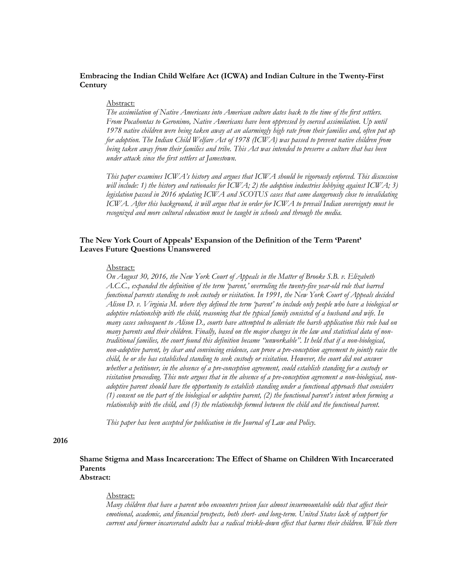# **Embracing the Indian Child Welfare Act (ICWA) and Indian Culture in the Twenty-First Century**

## Abstract:

*The assimilation of Native Americans into American culture dates back to the time of the first settlers. From Pocahontas to Geronimo, Native Americans have been oppressed by coerced assimilation. Up until 1978 native children were being taken away at an alarmingly high rate from their families and, often put up for adoption. The Indian Child Welfare Act of 1978 (ICWA) was passed to prevent native children from being taken away from their families and tribe. This Act was intended to preserve a culture that has been under attack since the first settlers at Jamestown.*

*This paper examines ICWA's history and argues that ICWA should be vigorously enforced. This discussion will include: 1) the history and rationales for ICWA; 2) the adoption industries lobbying against ICWA; 3) legislation passed in 2016 updating ICWA and SCOTUS cases that came dangerously close to invalidating ICWA. After this background, it will argue that in order for ICWA to prevail Indian sovereignty must be recognized and more cultural education must be taught in schools and through the media.*

# **The New York Court of Appeals' Expansion of the Definition of the Term 'Parent' Leaves Future Questions Unanswered**

## Abstract:

*On August 30, 2016, the New York Court of Appeals in the Matter of Brooke S.B. v. Elizabeth A.C.C., expanded the definition of the term 'parent,' overruling the twenty-five year-old rule that barred functional parents standing to seek custody or visitation. In 1991, the New York Court of Appeals decided Alison D. v. Virginia M. where they defined the term 'parent' to include only people who have a biological or adoptive relationship with the child, reasoning that the typical family consisted of a husband and wife. In many cases subsequent to Alison D., courts have attempted to alleviate the harsh application this rule had on many parents and their children. Finally, based on the major changes in the law and statistical data of nontraditional families, the court found this definition became "unworkable". It held that if a non-biological, non-adoptive parent, by clear and convincing evidence, can prove a pre-conception agreement to jointly raise the child, he or she has established standing to seek custody or visitation. However, the court did not answer whether a petitioner, in the absence of a pre-conception agreement, could establish standing for a custody or visitation proceeding. This note argues that in the absence of a pre-conception agreement a non-biological, nonadoptive parent should have the opportunity to establish standing under a functional approach that considers (1) consent on the part of the biological or adoptive parent, (2) the functional parent's intent when forming a relationship with the child, and (3) the relationship formed between the child and the functional parent.*

*This paper has been accepted for publication in the Journal of Law and Policy.*

## **2016**

**Shame Stigma and Mass Incarceration: The Effect of Shame on Children With Incarcerated Parents Abstract:**

# Abstract:

*Many children that have a parent who encounters prison face almost insurmountable odds that affect their emotional, academic, and financial prospects, both short- and long-term. United States lack of support for current and former incarcerated adults has a radical trickle-down effect that harms their children. While there*